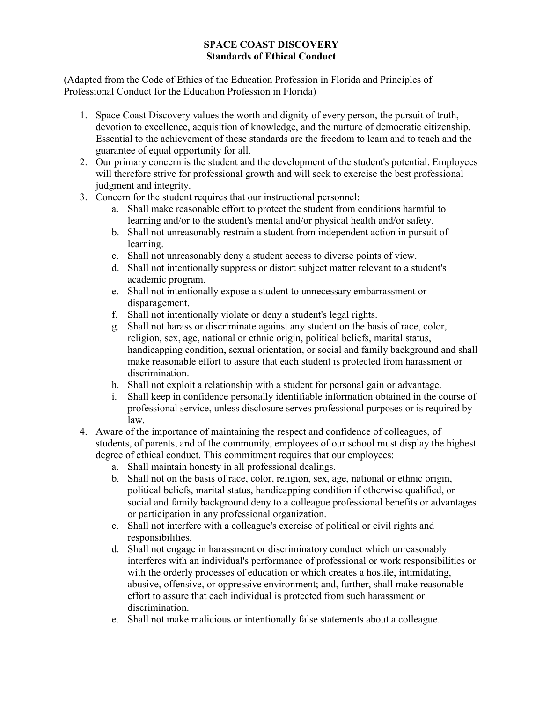## **SPACE COAST DISCOVERY Standards of Ethical Conduct**

(Adapted from the Code of Ethics of the Education Profession in Florida and Principles of Professional Conduct for the Education Profession in Florida)

- 1. Space Coast Discovery values the worth and dignity of every person, the pursuit of truth, devotion to excellence, acquisition of knowledge, and the nurture of democratic citizenship. Essential to the achievement of these standards are the freedom to learn and to teach and the guarantee of equal opportunity for all.
- 2. Our primary concern is the student and the development of the student's potential. Employees will therefore strive for professional growth and will seek to exercise the best professional judgment and integrity.
- 3. Concern for the student requires that our instructional personnel:
	- a. Shall make reasonable effort to protect the student from conditions harmful to learning and/or to the student's mental and/or physical health and/or safety.
	- b. Shall not unreasonably restrain a student from independent action in pursuit of learning.
	- c. Shall not unreasonably deny a student access to diverse points of view.
	- d. Shall not intentionally suppress or distort subject matter relevant to a student's academic program.
	- e. Shall not intentionally expose a student to unnecessary embarrassment or disparagement.
	- f. Shall not intentionally violate or deny a student's legal rights.
	- g. Shall not harass or discriminate against any student on the basis of race, color, religion, sex, age, national or ethnic origin, political beliefs, marital status, handicapping condition, sexual orientation, or social and family background and shall make reasonable effort to assure that each student is protected from harassment or discrimination.
	- h. Shall not exploit a relationship with a student for personal gain or advantage.
	- i. Shall keep in confidence personally identifiable information obtained in the course of professional service, unless disclosure serves professional purposes or is required by law.
- 4. Aware of the importance of maintaining the respect and confidence of colleagues, of students, of parents, and of the community, employees of our school must display the highest degree of ethical conduct. This commitment requires that our employees:
	- a. Shall maintain honesty in all professional dealings.
	- b. Shall not on the basis of race, color, religion, sex, age, national or ethnic origin, political beliefs, marital status, handicapping condition if otherwise qualified, or social and family background deny to a colleague professional benefits or advantages or participation in any professional organization.
	- c. Shall not interfere with a colleague's exercise of political or civil rights and responsibilities.
	- d. Shall not engage in harassment or discriminatory conduct which unreasonably interferes with an individual's performance of professional or work responsibilities or with the orderly processes of education or which creates a hostile, intimidating, abusive, offensive, or oppressive environment; and, further, shall make reasonable effort to assure that each individual is protected from such harassment or discrimination.
	- e. Shall not make malicious or intentionally false statements about a colleague.